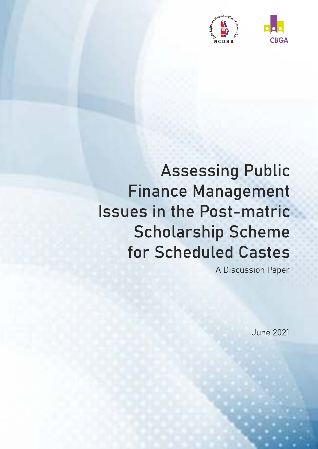

# **Assessing Public Finance Management Issues in the Post-matric Scholarship Scheme** for Scheduled Castes

A Discussion Paper

**June 2021**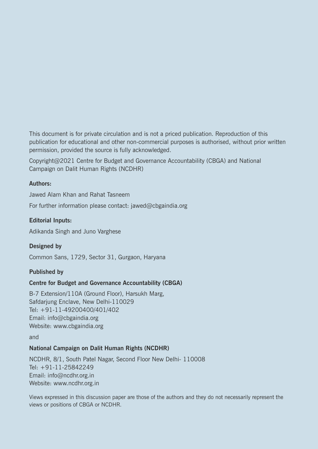This document is for private circulation and is not a priced publication. Reproduction of this publication for educational and other non-commercial purposes is authorised, without prior written permission, provided the source is fully acknowledged.

Copyright@2021 Centre for Budget and Governance Accountability (CBGA) and National Campaign on Dalit Human Rights (NCDHR)

#### **Authors:**

Jawed Alam Khan and Rahat Tasneem

For further information please contact: jawed@cbgaindia.org

#### **Editorial Inputs:**

Adikanda Singh and Juno Varghese

#### **Designed by**

Common Sans, 1729, Sector 31, Gurgaon, Haryana

#### **Published by**

#### **Centre for Budget and Governance Accountability (CBGA)**

B-7 Extension/110A (Ground Floor), Harsukh Marg, Safdarjung Enclave, New Delhi-110029 Tel: +91-11-49200400/401/402 Email: info@cbgaindia.org Website: www.cbgaindia.org

and

#### **National Campaign on Dalit Human Rights (NCDHR)**

NCDHR, 8/1, South Patel Nagar, Second Floor New Delhi- 110008 Tel: +91-11-25842249 Email: info@ncdhr.org.in Website: www.ncdhr.org.in

Views expressed in this discussion paper are those of the authors and they do not necessarily represent the views or positions of CBGA or NCDHR.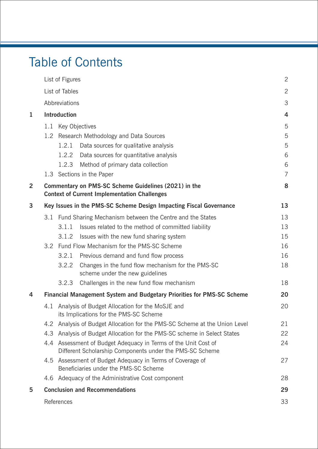## Table of Contents

|                         |                                                                        | List of Figures                                                                                                        |                                                                                                             | $\overline{2}$ |  |  |  |  |
|-------------------------|------------------------------------------------------------------------|------------------------------------------------------------------------------------------------------------------------|-------------------------------------------------------------------------------------------------------------|----------------|--|--|--|--|
|                         |                                                                        | List of Tables                                                                                                         |                                                                                                             | $\overline{2}$ |  |  |  |  |
|                         |                                                                        | Abbreviations                                                                                                          |                                                                                                             | 3              |  |  |  |  |
| 1                       | Introduction                                                           |                                                                                                                        |                                                                                                             |                |  |  |  |  |
|                         | 1.1                                                                    |                                                                                                                        | Key Objectives                                                                                              | 5              |  |  |  |  |
|                         | 1.2                                                                    |                                                                                                                        | Research Methodology and Data Sources                                                                       | 5              |  |  |  |  |
|                         |                                                                        | 1.2.1                                                                                                                  | Data sources for qualitative analysis                                                                       | 5              |  |  |  |  |
|                         |                                                                        | 1.2.2                                                                                                                  | Data sources for quantitative analysis                                                                      | 6              |  |  |  |  |
|                         |                                                                        | 1.2.3                                                                                                                  | Method of primary data collection                                                                           | 6              |  |  |  |  |
|                         |                                                                        |                                                                                                                        | 1.3 Sections in the Paper                                                                                   | $\overline{7}$ |  |  |  |  |
| $\overline{\mathbf{2}}$ |                                                                        |                                                                                                                        | Commentary on PMS-SC Scheme Guidelines (2021) in the<br><b>Context of Current Implementation Challenges</b> | 8              |  |  |  |  |
| 3                       |                                                                        |                                                                                                                        | Key Issues in the PMS-SC Scheme Design Impacting Fiscal Governance                                          | 13             |  |  |  |  |
|                         |                                                                        |                                                                                                                        | 3.1 Fund Sharing Mechanism between the Centre and the States                                                | 13             |  |  |  |  |
|                         |                                                                        | 3.1.1                                                                                                                  | Issues related to the method of committed liability                                                         | 13             |  |  |  |  |
|                         |                                                                        | 3.1.2                                                                                                                  | Issues with the new fund sharing system                                                                     | 15             |  |  |  |  |
|                         | 3.2                                                                    |                                                                                                                        | Fund Flow Mechanism for the PMS-SC Scheme                                                                   | 16             |  |  |  |  |
|                         |                                                                        | 3.2.1                                                                                                                  | Previous demand and fund flow process                                                                       | 16             |  |  |  |  |
|                         |                                                                        | 3.2.2                                                                                                                  | Changes in the fund flow mechanism for the PMS-SC<br>scheme under the new guidelines                        | 18             |  |  |  |  |
|                         |                                                                        | 3.2.3                                                                                                                  | Challenges in the new fund flow mechanism                                                                   | 18             |  |  |  |  |
| 4                       | Financial Management System and Budgetary Priorities for PMS-SC Scheme |                                                                                                                        |                                                                                                             |                |  |  |  |  |
|                         | 4.1                                                                    |                                                                                                                        | Analysis of Budget Allocation for the MoSJE and<br>its Implications for the PMS-SC Scheme                   | 20             |  |  |  |  |
|                         | 4.2                                                                    |                                                                                                                        | Analysis of Budget Allocation for the PMS-SC Scheme at the Union Level                                      | 21             |  |  |  |  |
|                         | 4.3                                                                    |                                                                                                                        | Analysis of Budget Allocation for the PMS-SC scheme in Select States                                        | 22             |  |  |  |  |
|                         | 4.4                                                                    | Assessment of Budget Adequacy in Terms of the Unit Cost of<br>Different Scholarship Components under the PMS-SC Scheme |                                                                                                             |                |  |  |  |  |
|                         |                                                                        |                                                                                                                        | 4.5 Assessment of Budget Adequacy in Terms of Coverage of<br>Beneficiaries under the PMS-SC Scheme          | 27             |  |  |  |  |
|                         | 4.6                                                                    | Adequacy of the Administrative Cost component                                                                          |                                                                                                             |                |  |  |  |  |
| 5                       |                                                                        |                                                                                                                        | <b>Conclusion and Recommendations</b>                                                                       | 29             |  |  |  |  |
|                         |                                                                        | References                                                                                                             |                                                                                                             | 33             |  |  |  |  |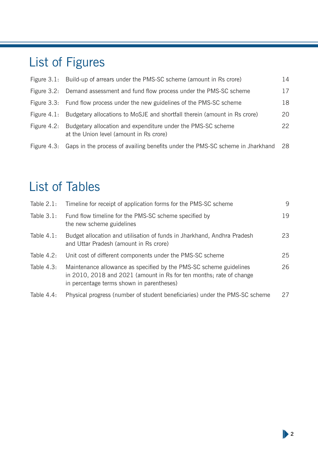## List of Figures

|                | Figure 3.1: Build-up of arrears under the PMS-SC scheme (amount in Rs crore)                            | 14 |
|----------------|---------------------------------------------------------------------------------------------------------|----|
|                | Figure 3.2: Demand assessment and fund flow process under the PMS-SC scheme                             | 17 |
|                | Figure 3.3: Fund flow process under the new guidelines of the PMS-SC scheme                             | 18 |
|                | Figure 4.1: Budgetary allocations to MoSJE and shortfall therein (amount in Rs crore)                   | 20 |
| Figure $4.2$ : | Budgetary allocation and expenditure under the PMS-SC scheme<br>at the Union level (amount in Rs crore) | 22 |
|                | Figure 4.3: Gaps in the process of availing benefits under the PMS-SC scheme in Jharkhand               | 28 |

## List of Tables

| Table $2.1$ : | Timeline for receipt of application forms for the PMS-SC scheme                                                                                                                        | 9  |
|---------------|----------------------------------------------------------------------------------------------------------------------------------------------------------------------------------------|----|
| Table $3.1$ : | Fund flow timeline for the PMS-SC scheme specified by<br>the new scheme guidelines                                                                                                     | 19 |
| Table $4.1$ : | Budget allocation and utilisation of funds in Jharkhand, Andhra Pradesh<br>and Uttar Pradesh (amount in Rs crore)                                                                      | 23 |
| Table $4.2:$  | Unit cost of different components under the PMS-SC scheme                                                                                                                              | 25 |
| Table $4.3:$  | Maintenance allowance as specified by the PMS-SC scheme guidelines<br>in 2010, 2018 and 2021 (amount in Rs for ten months; rate of change<br>in percentage terms shown in parentheses) | 26 |
| Table $4.4$ : | Physical progress (number of student beneficiaries) under the PMS-SC scheme                                                                                                            | 27 |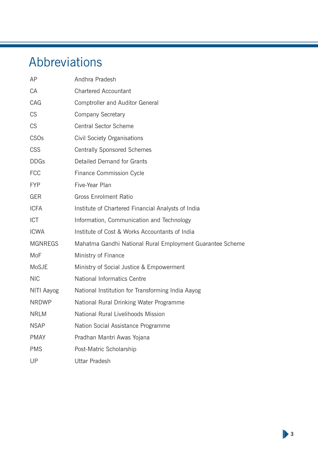## Abbreviations

| AP             | Andhra Pradesh                                            |
|----------------|-----------------------------------------------------------|
| CA             | <b>Chartered Accountant</b>                               |
| CAG            | <b>Comptroller and Auditor General</b>                    |
| <b>CS</b>      | <b>Company Secretary</b>                                  |
| <b>CS</b>      | <b>Central Sector Scheme</b>                              |
| <b>CSOs</b>    | <b>Civil Society Organisations</b>                        |
| <b>CSS</b>     | <b>Centrally Sponsored Schemes</b>                        |
| <b>DDGs</b>    | Detailed Demand for Grants                                |
| <b>FCC</b>     | <b>Finance Commission Cycle</b>                           |
| <b>FYP</b>     | Five-Year Plan                                            |
| <b>GER</b>     | <b>Gross Enrolment Ratio</b>                              |
| <b>ICFA</b>    | Institute of Chartered Financial Analysts of India        |
| <b>ICT</b>     | Information, Communication and Technology                 |
| <b>ICWA</b>    | Institute of Cost & Works Accountants of India            |
| <b>MGNREGS</b> | Mahatma Gandhi National Rural Employment Guarantee Scheme |
| MoF            | Ministry of Finance                                       |
| MoSJE          | Ministry of Social Justice & Empowerment                  |
| <b>NIC</b>     | <b>National Informatics Centre</b>                        |
| NITI Aayog     | National Institution for Transforming India Aayog         |
| <b>NRDWP</b>   | National Rural Drinking Water Programme                   |
| <b>NRLM</b>    | National Rural Livelihoods Mission                        |
| <b>NSAP</b>    | Nation Social Assistance Programme                        |
| <b>PMAY</b>    | Pradhan Mantri Awas Yojana                                |
| <b>PMS</b>     | Post-Matric Scholarship                                   |
| UP             | <b>Uttar Pradesh</b>                                      |

**3**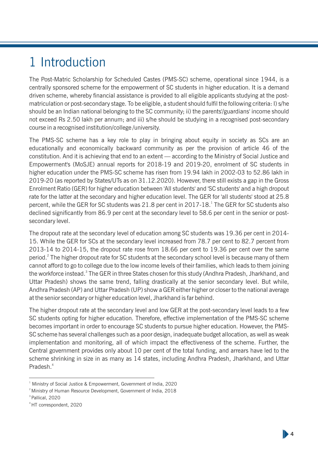## 1 Introduction

The Post-Matric Scholarship for Scheduled Castes (PMS-SC) scheme, operational since 1944, is a centrally sponsored scheme for the empowerment of SC students in higher education. It is a demand driven scheme, whereby financial assistance is provided to all eligible applicants studying at the postmatriculation or post-secondary stage. To be eligible, a student should fulfil the following criteria: I) s/he should be an Indian national belonging to the SC community; ii) the parents'/guardians' income should not exceed Rs 2.50 lakh per annum; and iii) s/he should be studying in a recognised post-secondary course in a recognised institution/college /university.

The PMS-SC scheme has a key role to play in bringing about equity in society as SCs are an educationally and economically backward community as per the provision of article 46 of the constitution. And it is achieving that end to an extent — according to the Ministry of Social Justice and Empowerment's (MoSJE) annual reports for 2018-19 and 2019-20, enrolment of SC students in higher education under the PMS-SC scheme has risen from 19.94 lakh in 2002-03 to 52.86 lakh in 2019-20 (as reported by States/UTs as on 31.12.2020). However, there still exists a gap in the Gross Enrolment Ratio (GER) for higher education between 'All students' and 'SC students' and a high dropout rate for the latter at the secondary and higher education level. The GER for 'all students' stood at 25.8 percent, while the GER for SC students was 21.8 per cent in 2017-18. The GER for SC students also declined significantly from 86.9 per cent at the secondary level to 58.6 per cent in the senior or postsecondary level.

The dropout rate at the secondary level of education among SC students was 19.36 per cent in 2014- 15. While the GER for SCs at the secondary level increased from 78.7 per cent to 82.7 percent from 2013-14 to 2014-15, the dropout rate rose from 18.66 per cent to 19.36 per cent over the same period.<sup>2</sup> The higher dropout rate for SC students at the secondary school level is because many of them cannot afford to go to college due to the low income levels of their families, which leads to them joining the workforce instead. $^{\text{3}}$  The GER in three States chosen for this study (Andhra Pradesh, Jharkhand, and Uttar Pradesh) shows the same trend, falling drastically at the senior secondary level. But while, Andhra Pradesh (AP) and Uttar Pradesh (UP) show a GER either higher or closer to the national average at the senior secondary or higher education level, Jharkhand is far behind.

The higher dropout rate at the secondary level and low GER at the post-secondary level leads to a few SC students opting for higher education. Therefore, effective implementation of the PMS-SC scheme becomes important in order to encourage SC students to pursue higher education. However, the PMS-SC scheme has several challenges such as a poor design, inadequate budget allocation, as well as weak implementation and monitoring, all of which impact the effectiveness of the scheme. Further, the Central government provides only about 10 per cent of the total funding, and arrears have led to the scheme shrinking in size in as many as 14 states, including Andhra Pradesh, Jharkhand, and Uttar Pradesh.<sup>4</sup>

**4**

<sup>&</sup>lt;sup>1</sup> Ministry of Social Justice & Empowerment, Government of India, 2020

 $2^{\circ}$  Ministry of Human Resource Development, Government of India, 2018

<sup>&</sup>lt;sup>3</sup> Pallical, 2020

<sup>4</sup>HT correspondent, 2020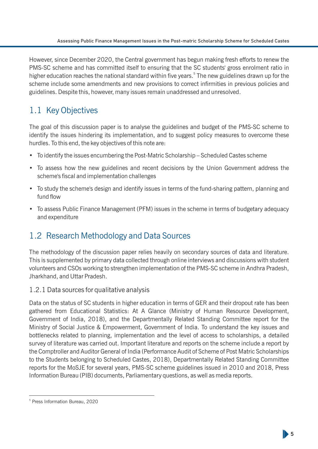However, since December 2020, the Central government has begun making fresh efforts to renew the PMS-SC scheme and has committed itself to ensuring that the SC students' gross enrolment ratio in higher education reaches the national standard within five years.<sup>5</sup> The new guidelines drawn up for the scheme include some amendments and new provisions to correct infirmities in previous policies and guidelines. Despite this, however, many issues remain unaddressed and unresolved.

## 1.1 Key Objectives

The goal of this discussion paper is to analyse the guidelines and budget of the PMS-SC scheme to identify the issues hindering its implementation, and to suggest policy measures to overcome these hurdles. To this end, the key objectives of this note are:

- To identify the issues encumbering the Post-Matric Scholarship Scheduled Castes scheme
- To assess how the new guidelines and recent decisions by the Union Government address the scheme's fiscal and implementation challenges
- To study the scheme's design and identify issues in terms of the fund-sharing pattern, planning and fund flow
- To assess Public Finance Management (PFM) issues in the scheme in terms of budgetary adequacy and expenditure

### 1.2 Research Methodology and Data Sources

The methodology of the discussion paper relies heavily on secondary sources of data and literature. This is supplemented by primary data collected through online interviews and discussions with student volunteers and CSOs working to strengthen implementation of the PMS-SC scheme in Andhra Pradesh, Jharkhand, and Uttar Pradesh.

#### 1.2.1 Data sources for qualitative analysis

Data on the status of SC students in higher education in terms of GER and their dropout rate has been gathered from Educational Statistics: At A Glance (Ministry of Human Resource Development, Government of India, 2018), and the Departmentally Related Standing Committee report for the Ministry of Social Justice & Empowerment, Government of India. To understand the key issues and bottlenecks related to planning, implementation and the level of access to scholarships, a detailed survey of literature was carried out. Important literature and reports on the scheme include a report by the Comptroller and Auditor General of India (Performance Audit of Scheme of Post Matric Scholarships to the Students belonging to Scheduled Castes, 2018), Departmentally Related Standing Committee reports for the MoSJE for several years, PMS-SC scheme guidelines issued in 2010 and 2018, Press Information Bureau (PIB) documents, Parliamentary questions, as well as media reports.

<sup>5</sup> Press Information Bureau, 2020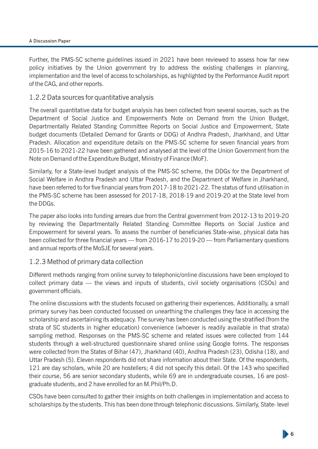#### A Discussion Paper

Further, the PMS-SC scheme guidelines issued in 2021 have been reviewed to assess how far new policy initiatives by the Union government try to address the existing challenges in planning, implementation and the level of access to scholarships, as highlighted by the Performance Audit report of the CAG, and other reports.

#### 1.2.2 Data sources for quantitative analysis

The overall quantitative data for budget analysis has been collected from several sources, such as the Department of Social Justice and Empowerment's Note on Demand from the Union Budget, Departmentally Related Standing Committee Reports on Social Justice and Empowerment, State budget documents (Detailed Demand for Grants or DDG) of Andhra Pradesh, Jharkhand, and Uttar Pradesh. Allocation and expenditure details on the PMS-SC scheme for seven financial years from 2015-16 to 2021-22 have been gathered and analysed at the level of the Union Government from the Note on Demand of the Expenditure Budget, Ministry of Finance (MoF).

Similarly, for a State-level budget analysis of the PMS-SC scheme, the DDGs for the Department of Social Welfare in Andhra Pradesh and Uttar Pradesh, and the Department of Welfare in Jharkhand, have been referred to for five financial years from 2017-18 to 2021-22. The status of fund utilisation in the PMS-SC scheme has been assessed for 2017-18, 2018-19 and 2019-20 at the State level from the DDGs.

The paper also looks into funding arrears due from the Central government from 2012-13 to 2019-20 by reviewing the Departmentally Related Standing Committee Reports on Social Justice and Empowerment for several years. To assess the number of beneficiaries State-wise, physical data has been collected for three financial years — from 2016-17 to 2019-20 — from Parliamentary questions and annual reports of the MoSJE for several years.

#### 1.2.3 Method of primary data collection

Different methods ranging from online survey to telephonic/online discussions have been employed to collect primary data — the views and inputs of students, civil society organisations (CSOs) and government officials.

The online discussions with the students focused on gathering their experiences. Additionally, a small primary survey has been conducted focussed on unearthing the challenges they face in accessing the scholarship and ascertaining its adequacy. The survey has been conducted using the stratied (from the strata of SC students in higher education) convenience (whoever is readily available in that strata) sampling method. Responses on the PMS-SC scheme and related issues were collected from 144 students through a well-structured questionnaire shared online using Google forms. The responses were collected from the States of Bihar (47), Jharkhand (40), Andhra Pradesh (23), Odisha (18), and Uttar Pradesh (5). Eleven respondents did not share information about their State. Of the respondents, 121 are day scholars, while 20 are hostellers; 4 did not specify this detail. Of the 143 who specified their course, 56 are senior secondary students, while 69 are in undergraduate courses, 16 are postgraduate students, and 2 have enrolled for an M.Phil/Ph.D.

CSOs have been consulted to gather their insights on both challenges in implementation and access to scholarships by the students. This has been done through telephonic discussions. Similarly, State- level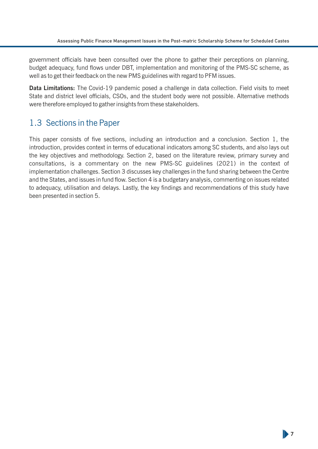government officials have been consulted over the phone to gather their perceptions on planning, budget adequacy, fund flows under DBT, implementation and monitoring of the PMS-SC scheme, as well as to get their feedback on the new PMS guidelines with regard to PFM issues.

**Data Limitations:** The Covid-19 pandemic posed a challenge in data collection. Field visits to meet State and district level officials, CSOs, and the student body were not possible. Alternative methods were therefore employed to gather insights from these stakeholders.

### 1.3 Sections in the Paper

This paper consists of five sections, including an introduction and a conclusion. Section 1, the introduction, provides context in terms of educational indicators among SC students, and also lays out the key objectives and methodology. Section 2, based on the literature review, primary survey and consultations, is a commentary on the new PMS-SC guidelines (2021) in the context of implementation challenges. Section 3 discusses key challenges in the fund sharing between the Centre and the States, and issues in fund flow. Section 4 is a budgetary analysis, commenting on issues related to adequacy, utilisation and delays. Lastly, the key findings and recommendations of this study have been presented in section 5.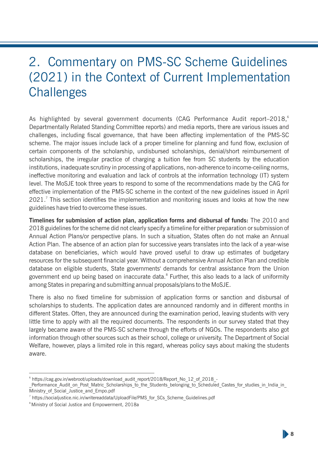## 2. Commentary on PMS-SC Scheme Guidelines (2021) in the Context of Current Implementation **Challenges**

As highlighted by several government documents (CAG Performance Audit report–2018,<sup>6</sup> Departmentally Related Standing Committee reports) and media reports, there are various issues and challenges, including fiscal governance, that have been affecting implementation of the PMS-SC scheme. The major issues include lack of a proper timeline for planning and fund flow, exclusion of certain components of the scholarship, undisbursed scholarships, denial/short reimbursement of scholarships, the irregular practice of charging a tuition fee from SC students by the education institutions, inadequate scrutiny in processing of applications, non-adherence to income-ceiling norms, ineffective monitoring and evaluation and lack of controls at the information technology (IT) system level. The MoSJE took three years to respond to some of the recommendations made by the CAG for effective implementation of the PMS-SC scheme in the context of the new guidelines issued in April  $2021$ .<sup>7</sup> This section identifies the implementation and monitoring issues and looks at how the new guidelines have tried to overcome these issues.

**Timelines for submission of action plan, application forms and disbursal of funds:** The 2010 and 2018 guidelines for the scheme did not clearly specify a timeline for either preparation or submission of Annual Action Plans/or perspective plans. In such a situation, States often do not make an Annual Action Plan. The absence of an action plan for successive years translates into the lack of a year-wise database on beneficiaries, which would have proved useful to draw up estimates of budgetary resources for the subsequent financial year. Without a comprehensive Annual Action Plan and credible database on eligible students, State governments' demands for central assistance from the Union government end up being based on inaccurate data.<sup>8</sup> Further, this also leads to a lack of uniformity among States in preparing and submitting annual proposals/plans to the MoSJE.

There is also no fixed timeline for submission of application forms or sanction and disbursal of scholarships to students. The application dates are announced randomly and in different months in different States. Often, they are announced during the examination period, leaving students with very little time to apply with all the required documents. The respondents in our survey stated that they largely became aware of the PMS-SC scheme through the efforts of NGOs. The respondents also got information through other sources such as their school, college or university. The Department of Social Welfare, however, plays a limited role in this regard, whereas policy says about making the students aware.

<sup>6</sup> https://cag.gov.in/webroot/uploads/download\_audit\_report/2018/Report\_No\_12\_of\_2018\_-

Performance Audit on Post Matric Scholarships to the Students belonging to Scheduled Castes for studies in India in Ministry of Social Justice and Empo.pdf

<sup>7</sup> https://socialjustice.nic.in/writereaddata/UploadFile/PMS\_for\_SCs\_Scheme\_Guidelines.pdf

<sup>&</sup>lt;sup>8</sup> Ministry of Social Justice and Empowerment, 2018a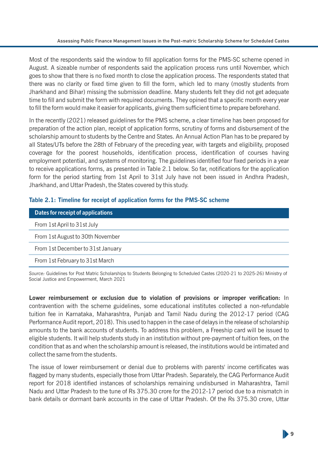Most of the respondents said the window to fill application forms for the PMS-SC scheme opened in August. A sizeable number of respondents said the application process runs until November, which goes to show that there is no fixed month to close the application process. The respondents stated that there was no clarity or fixed time given to fill the form, which led to many (mostly students from Jharkhand and Bihar) missing the submission deadline. Many students felt they did not get adequate time to fill and submit the form with required documents. They opined that a specific month every year to fill the form would make it easier for applicants, giving them sufficient time to prepare beforehand.

In the recently (2021) released guidelines for the PMS scheme, a clear timeline has been proposed for preparation of the action plan, receipt of application forms, scrutiny of forms and disbursement of the scholarship amount to students by the Centre and States. An Annual Action Plan has to be prepared by all States/UTs before the 28th of February of the preceding year, with targets and eligibility, proposed coverage for the poorest households, identification process, identification of courses having employment potential, and systems of monitoring. The guidelines identified four fixed periods in a year to receive applications forms, as presented in Table 2.1 below. So far, notifications for the application form for the period starting from 1st April to 31st July have not been issued in Andhra Pradesh, Jharkhand, and Uttar Pradesh, the States covered by this study.

|  |  |  |  | Table 2.1: Timeline for receipt of application forms for the PMS-SC scheme |  |  |  |
|--|--|--|--|----------------------------------------------------------------------------|--|--|--|
|--|--|--|--|----------------------------------------------------------------------------|--|--|--|

| Dates for receipt of applications |
|-----------------------------------|
| From 1st April to 31st July       |
| From 1st August to 30th November  |
| From 1st December to 31st January |
| From 1st February to 31st March   |

*Source:* Guidelines for Post Matric Scholarships to Students Belonging to Scheduled Castes (2020-21 to 2025-26) Ministry of Social Justice and Empowerment, March 2021

Lower reimbursement or exclusion due to violation of provisions or improper verification: In contravention with the scheme guidelines, some educational institutes collected a non-refundable tuition fee in Karnataka, Maharashtra, Punjab and Tamil Nadu during the 2012-17 period (CAG Performance Audit report, 2018). This used to happen in the case of delays in the release of scholarship amounts to the bank accounts of students. To address this problem, a Freeship card will be issued to eligible students. It will help students study in an institution without pre-payment of tuition fees, on the condition that as and when the scholarship amount is released, the institutions would be intimated and collect the same from the students.

The issue of lower reimbursement or denial due to problems with parents' income certificates was flagged by many students, especially those from Uttar Pradesh. Separately, the CAG Performance Audit report for 2018 identified instances of scholarships remaining undisbursed in Maharashtra, Tamil Nadu and Uttar Pradesh to the tune of Rs 375.30 crore for the 2012-17 period due to a mismatch in bank details or dormant bank accounts in the case of Uttar Pradesh. Of the Rs 375.30 crore, Uttar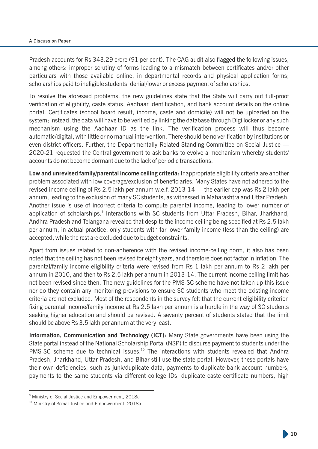#### A Discussion Paper

Pradesh accounts for Rs 343.29 crore (91 per cent). The CAG audit also flagged the following issues, among others: improper scrutiny of forms leading to a mismatch between certificates and/or other particulars with those available online, in departmental records and physical application forms; scholarships paid to ineligible students; denial/lower or excess payment of scholarships.

To resolve the aforesaid problems, the new guidelines state that the State will carry out full-proof verification of eligibility, caste status, Aadhaar identification, and bank account details on the online portal. Certificates (school board result, income, caste and domicile) will not be uploaded on the system; instead, the data will have to be verified by linking the database through Digi locker or any such mechanism using the Aadhaar ID as the link. The verification process will thus become automatic/digital, with little or no manual intervention. There should be no verification by institutions or even district officers. Further, the Departmentally Related Standing Committee on Social Justice — 2020-21 requested the Central government to ask banks to evolve a mechanism whereby students' accounts do not become dormant due to the lack of periodic transactions.

**Low and unrevised family/parental income ceiling criteria:** Inappropriate eligibility criteria are another problem associated with low coverage/exclusion of beneficiaries. Many States have not adhered to the revised income ceiling of Rs 2.5 lakh per annum w.e.f. 2013-14 — the earlier cap was Rs 2 lakh per annum, leading to the exclusion of many SC students, as witnessed in Maharashtra and Uttar Pradesh. Another issue is use of incorrect criteria to compute parental income, leading to lower number of application of scholarships.<sup>9</sup> Interactions with SC students from Uttar Pradesh, Bihar, Jharkhand, Andhra Pradesh and Telangana revealed that despite the income ceiling being specified at Rs 2.5 lakh per annum, in actual practice, only students with far lower family income (less than the ceiling) are accepted, while the rest are excluded due to budget constraints.

Apart from issues related to non-adherence with the revised income-ceiling norm, it also has been noted that the ceiling has not been revised for eight years, and therefore does not factor in inflation. The parental/family income eligibility criteria were revised from Rs 1 lakh per annum to Rs 2 lakh per annum in 2010, and then to Rs 2.5 lakh per annum in 2013-14. The current income ceiling limit has not been revised since then. The new guidelines for the PMS-SC scheme have not taken up this issue nor do they contain any monitoring provisions to ensure SC students who meet the existing income criteria are not excluded. Most of the respondents in the survey felt that the current eligibility criterion fixing parental income/family income at Rs 2.5 lakh per annum is a hurdle in the way of SC students seeking higher education and should be revised. A seventy percent of students stated that the limit should be above Rs 3.5 lakh per annum at the very least.

**Information, Communication and Technology (ICT):** Many State governments have been using the State portal instead of the National Scholarship Portal (NSP) to disburse payment to students under the  $PMS-SC$  scheme due to technical issues.<sup>10</sup> The interactions with students revealed that Andhra Pradesh, Jharkhand, Uttar Pradesh, and Bihar still use the state portal. However, these portals have their own deficiencies, such as junk/duplicate data, payments to duplicate bank account numbers, payments to the same students via different college IDs, duplicate caste certificate numbers, high

<sup>9</sup> Ministry of Social Justice and Empowerment, 2018a

<sup>&</sup>lt;sup>10</sup> Ministry of Social Justice and Empowerment, 2018a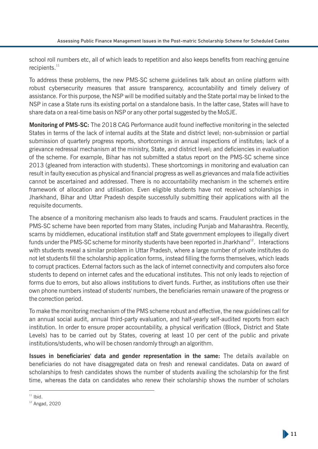school roll numbers etc, all of which leads to repetition and also keeps benefits from reaching genuine  $recipients.<sup>11</sup>$ 

To address these problems, the new PMS-SC scheme guidelines talk about an online platform with robust cybersecurity measures that assure transparency, accountability and timely delivery of assistance. For this purpose, the NSP will be modified suitably and the State portal may be linked to the NSP in case a State runs its existing portal on a standalone basis. In the latter case, States will have to share data on a real-time basis on NSP or any other portal suggested by the MoSJE.

**Monitoring of PMS-SC:** The 2018 CAG Performance audit found ineffective monitoring in the selected States in terms of the lack of internal audits at the State and district level; non-submission or partial submission of quarterly progress reports, shortcomings in annual inspections of institutes; lack of a grievance redressal mechanism at the ministry, State, and district level; and deciencies in evaluation of the scheme. For example, Bihar has not submitted a status report on the PMS-SC scheme since 2013 (gleaned from interaction with students). These shortcomings in monitoring and evaluation can result in faulty execution as physical and financial progress as well as grievances and mala fide activities cannot be ascertained and addressed. There is no accountability mechanism in the scheme's entire framework of allocation and utilisation. Even eligible students have not received scholarships in Jharkhand, Bihar and Uttar Pradesh despite successfully submitting their applications with all the requisite documents.

The absence of a monitoring mechanism also leads to frauds and scams. Fraudulent practices in the PMS-SC scheme have been reported from many States, including Punjab and Maharashtra. Recently, scams by middlemen, educational institution staff and State government employees to illegally divert funds under the PMS-SC scheme for minority students have been reported in Jharkhand<sup>12</sup>. Interactions with students reveal a similar problem in Uttar Pradesh, where a large number of private institutes do not let students fill the scholarship application forms, instead filling the forms themselves, which leads to corrupt practices. External factors such as the lack of internet connectivity and computers also force students to depend on internet cafes and the educational institutes. This not only leads to rejection of forms due to errors, but also allows institutions to divert funds. Further, as institutions often use their own phone numbers instead of students' numbers, the beneficiaries remain unaware of the progress or the correction period.

To make the monitoring mechanism of the PMS scheme robust and effective, the new guidelines call for an annual social audit, annual third-party evaluation, and half-yearly self-audited reports from each institution. In order to ensure proper accountability, a physical verification (Block, District and State Levels) has to be carried out by States, covering at least 10 per cent of the public and private institutions/students, who will be chosen randomly through an algorithm.

**Issues in beneficiaries' data and gender representation in the same:** The details available on beneficiaries do not have disaggregated data on fresh and renewal candidates. Data on award of scholarships to fresh candidates shows the number of students availing the scholarship for the first time, whereas the data on candidates who renew their scholarship shows the number of scholars

 $11$  Ibid.

 $12$  Angad, 2020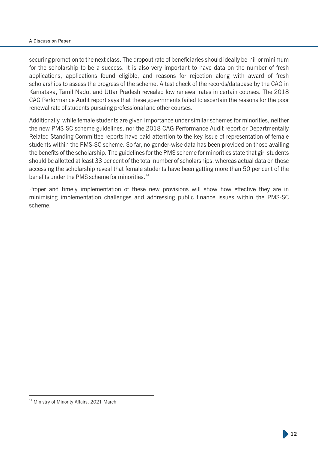#### A Discussion Paper

securing promotion to the next class. The dropout rate of beneficiaries should ideally be 'nil' or minimum for the scholarship to be a success. It is also very important to have data on the number of fresh applications, applications found eligible, and reasons for rejection along with award of fresh scholarships to assess the progress of the scheme. A test check of the records/database by the CAG in Karnataka, Tamil Nadu, and Uttar Pradesh revealed low renewal rates in certain courses. The 2018 CAG Performance Audit report says that these governments failed to ascertain the reasons for the poor renewal rate of students pursuing professional and other courses.

Additionally, while female students are given importance under similar schemes for minorities, neither the new PMS-SC scheme guidelines, nor the 2018 CAG Performance Audit report or Departmentally Related Standing Committee reports have paid attention to the key issue of representation of female students within the PMS-SC scheme. So far, no gender-wise data has been provided on those availing the benefits of the scholarship. The guidelines for the PMS scheme for minorities state that girl students should be allotted at least 33 per cent of the total number of scholarships, whereas actual data on those accessing the scholarship reveal that female students have been getting more than 50 per cent of the benefits under the PMS scheme for minorities.<sup>13</sup>

Proper and timely implementation of these new provisions will show how effective they are in minimising implementation challenges and addressing public finance issues within the PMS-SC scheme.

<sup>&</sup>lt;sup>13</sup> Ministry of Minority Affairs, 2021 March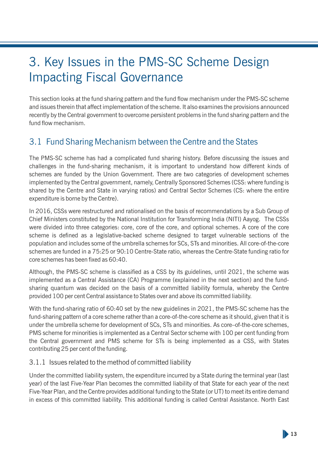## 3. Key Issues in the PMS-SC Scheme Design Impacting Fiscal Governance

This section looks at the fund sharing pattern and the fund flow mechanism under the PMS-SC scheme and issues therein that affect implementation of the scheme. It also examines the provisions announced recently by the Central government to overcome persistent problems in the fund sharing pattern and the fund flow mechanism.

### 3.1 Fund Sharing Mechanism between the Centre and the States

The PMS-SC scheme has had a complicated fund sharing history. Before discussing the issues and challenges in the fund-sharing mechanism, it is important to understand how different kinds of schemes are funded by the Union Government. There are two categories of development schemes implemented by the Central government, namely, Centrally Sponsored Schemes (CSS: where funding is shared by the Centre and State in varying ratios) and Central Sector Schemes (CS: where the entire expenditure is borne by the Centre).

In 2016, CSSs were restructured and rationalised on the basis of recommendations by a Sub Group of Chief Ministers constituted by the National Institution for Transforming India (NITI) Aayog. The CSSs were divided into three categories: core, core of the core, and optional schemes. A core of the core scheme is defined as a legislative-backed scheme designed to target vulnerable sections of the population and includes some of the umbrella schemes for SCs, STs and minorities. All core-of-the-core schemes are funded in a 75:25 or 90:10 Centre-State ratio, whereas the Centre-State funding ratio for  $\frac{1}{2}$  core schemes has been fixed as 60:40.

Although, the PMS-SC scheme is classified as a CSS by its guidelines, until 2021, the scheme was implemented as a Central Assistance (CA) Programme (explained in the next section) and the fundsharing quantum was decided on the basis of a committed liability formula, whereby the Centre provided 100 per cent Central assistance to States over and above its committed liability.

With the fund-sharing ratio of 60:40 set by the new guidelines in 2021, the PMS-SC scheme has the fund-sharing pattern of a core scheme rather than a core-of-the-core scheme as it should, given that it is under the umbrella scheme for development of SCs, STs and minorities. As core–of-the-core schemes, PMS scheme for minorities is implemented as a Central Sector scheme with 100 per cent funding from the Central government and PMS scheme for STs is being implemented as a CSS, with States contributing 25 per cent of the funding.

#### 3.1.1 Issues related to the method of committed liability

Under the committed liability system, the expenditure incurred by a State during the terminal year (last year) of the last Five-Year Plan becomes the committed liability of that State for each year of the next Five-Year Plan, and the Centre provides additional funding to the State (or UT) to meet its entire demand in excess of this committed liability. This additional funding is called Central Assistance. North East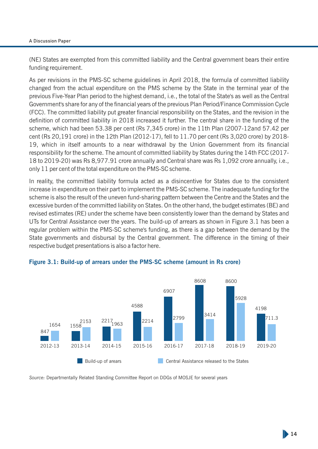#### A Discussion Paper

(NE) States are exempted from this committed liability and the Central government bears their entire funding requirement.

As per revisions in the PMS-SC scheme guidelines in April 2018, the formula of committed liability changed from the actual expenditure on the PMS scheme by the State in the terminal year of the previous Five-Year Plan period to the highest demand, i.e., the total of the State's as well as the Central Government's share for any of the financial years of the previous Plan Period/Finance Commission Cycle (FCC). The committed liability put greater financial responsibility on the States, and the revision in the definition of committed liability in 2018 increased it further. The central share in the funding of the scheme, which had been 53.38 per cent (Rs 7,345 crore) in the 11th Plan (2007-12and 57.42 per cent (Rs 20,191 crore) in the 12th Plan (2012-17), fell to 11.70 per cent (Rs 3,020 crore) by 2018- 19, which in itself amounts to a near withdrawal by the Union Government from its financial responsibility for the scheme. The amount of committed liability by States during the 14th FCC (2017- 18 to 2019-20) was Rs 8,977.91 crore annually and Central share was Rs 1,092 crore annually, i.e., only 11 per cent of the total expenditure on the PMS-SC scheme.

In reality, the committed liability formula acted as a disincentive for States due to the consistent increase in expenditure on their part to implement the PMS-SC scheme. The inadequate funding for the scheme is also the result of the uneven fund-sharing pattern between the Centre and the States and the excessive burden of the committed liability on States. On the other hand, the budget estimates (BE) and revised estimates (RE) under the scheme have been consistently lower than the demand by States and UTs for Central Assistance over the years. The build-up of arrears as shown in Figure 3.1 has been a regular problem within the PMS-SC scheme's funding, as there is a gap between the demand by the State governments and disbursal by the Central government. The difference in the timing of their respective budget presentations is also a factor here.



#### **Figure 3.1: Build-up of arrears under the PMS-SC scheme (amount in Rs crore)**

*Source:* Departmentally Related Standing Committee Report on DDGs of MOSJE for several years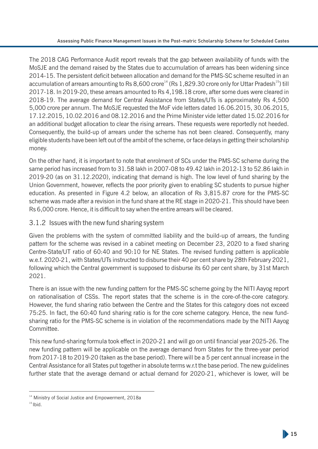The 2018 CAG Performance Audit report reveals that the gap between availability of funds with the MoSJE and the demand raised by the States due to accumulation of arrears has been widening since 2014-15. The persistent deficit between allocation and demand for the PMS-SC scheme resulted in an accumulation of arrears amounting to Rs 8,600 crore<sup>14</sup> (Rs 1,829.30 crore only for Uttar Pradesh<sup>15</sup>) till 2017-18. In 2019-20, these arrears amounted to Rs 4,198.18 crore, after some dues were cleared in 2018-19. The average demand for Central Assistance from States/UTs is approximately Rs 4,500 5,000 crore per annum. The MoSJE requested the MoF vide letters dated 16.06.2015, 30.06.2015, 17.12.2015, 10.02.2016 and 08.12.2016 and the Prime Minister vide letter dated 15.02.2016 for an additional budget allocation to clear the rising arrears. These requests were reportedly not heeded. Consequently, the build-up of arrears under the scheme has not been cleared. Consequently, many eligible students have been left out of the ambit of the scheme, or face delays in getting their scholarship money.

On the other hand, it is important to note that enrolment of SCs under the PMS-SC scheme during the same period has increased from to 31.58 lakh in 2007-08 to 49.42 lakh in 2012-13 to 52.86 lakh in 2019-20 (as on 31.12.2020), indicating that demand is high. The low level of fund sharing by the Union Government, however, reflects the poor priority given to enabling SC students to pursue higher education. As presented in Figure 4.2 below, an allocation of Rs 3,815.87 crore for the PMS-SC scheme was made after a revision in the fund share at the RE stage in 2020-21. This should have been Rs 6,000 crore. Hence, it is difficult to say when the entire arrears will be cleared.

#### 3.1.2 Issues with the new fund sharing system

Given the problems with the system of committed liability and the build-up of arrears, the funding pattern for the scheme was revised in a cabinet meeting on December 23, 2020 to a fixed sharing Centre-State/UT ratio of 60:40 and 90:10 for NE States. The revised funding pattern is applicable w.e.f. 2020-21, with States/UTs instructed to disburse their 40 per cent share by 28th February 2021, following which the Central government is supposed to disburse its 60 per cent share, by 31st March 2021.

There is an issue with the new funding pattern for the PMS-SC scheme going by the NITI Aayog report on rationalisation of CSSs. The report states that the scheme is in the core-of-the-core category. However, the fund sharing ratio between the Centre and the States for this category does not exceed 75:25. In fact, the 60:40 fund sharing ratio is for the core scheme category. Hence, the new fundsharing ratio for the PMS-SC scheme is in violation of the recommendations made by the NITI Aayog Committee.

This new fund-sharing formula took effect in 2020-21 and will go on until financial year 2025-26. The new funding pattern will be applicable on the average demand from States for the three-year period from 2017-18 to 2019-20 (taken as the base period). There will be a 5 per cent annual increase in the Central Assistance for all States put together in absolute terms w.r.t the base period. The new guidelines further state that the average demand or actual demand for 2020-21, whichever is lower, will be

<sup>&</sup>lt;sup>14</sup> Ministry of Social Justice and Empowerment, 2018a

 $15$  Ibid.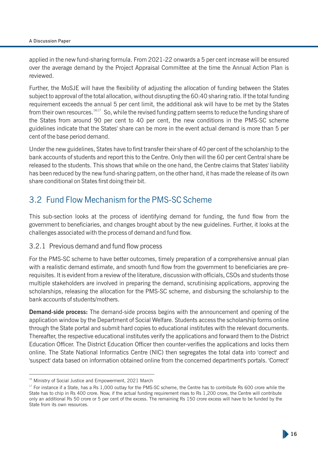applied in the new fund-sharing formula. From 2021-22 onwards a 5 per cent increase will be ensured over the average demand by the Project Appraisal Committee at the time the Annual Action Plan is reviewed.

Further, the MoSJE will have the flexibility of adjusting the allocation of funding between the States subject to approval of the total allocation, without disrupting the 60:40 sharing ratio. If the total funding requirement exceeds the annual 5 per cent limit, the additional ask will have to be met by the States from their own resources.<sup>1617</sup> So, while the revised funding pattern seems to reduce the funding share of the States from around 90 per cent to 40 per cent, the new conditions in the PMS-SC scheme guidelines indicate that the States' share can be more in the event actual demand is more than 5 per cent of the base period demand.

Under the new guidelines, States have to first transfer their share of 40 per cent of the scholarship to the bank accounts of students and report this to the Centre. Only then will the 60 per cent Central share be released to the students. This shows that while on the one hand, the Centre claims that States' liability has been reduced by the new fund-sharing pattern, on the other hand, it has made the release of its own share conditional on States first doing their bit.

### 3.2 Fund Flow Mechanism for the PMS-SC Scheme

This sub-section looks at the process of identifying demand for funding, the fund flow from the government to beneficiaries, and changes brought about by the new guidelines. Further, it looks at the challenges associated with the process of demand and fund flow.

#### 3.2.1 Previous demand and fund flow process

For the PMS-SC scheme to have better outcomes, timely preparation of a comprehensive annual plan with a realistic demand estimate, and smooth fund flow from the government to beneficiaries are prerequisites. It is evident from a review of the literature, discussion with officials, CSOs and students those multiple stakeholders are involved in preparing the demand, scrutinising applications, approving the scholarships, releasing the allocation for the PMS-SC scheme, and disbursing the scholarship to the bank accounts of students/mothers.

**Demand-side process:** The demand-side process begins with the announcement and opening of the application window by the Department of Social Welfare. Students access the scholarship forms online through the State portal and submit hard copies to educational institutes with the relevant documents. Thereafter, the respective educational institutes verify the applications and forward them to the District Education Officer. The District Education Officer then counter-verifies the applications and locks them online. The State National Informatics Centre (NIC) then segregates the total data into 'correct' and 'suspect' data based on information obtained online from the concerned department's portals. 'Correct'

<sup>&</sup>lt;sup>16</sup> Ministry of Social Justice and Empowerment, 2021 March

<sup>&</sup>lt;sup>17</sup> For instance if a State, has a Rs 1,000 outlay for the PMS-SC scheme, the Centre has to contribute Rs 600 crore while the State has to chip in Rs 400 crore. Now, if the actual funding requirement rises to Rs 1,200 crore, the Centre will contribute only an additional Rs 50 crore or 5 per cent of the excess. The remaining Rs 150 crore excess will have to be funded by the State from its own resources.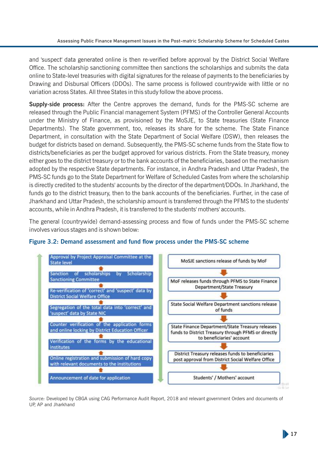and 'suspect' data generated online is then re-verified before approval by the District Social Welfare Office. The scholarship sanctioning committee then sanctions the scholarships and submits the data online to State-level treasuries with digital signatures for the release of payments to the beneficiaries by Drawing and Disbursal Officers (DDOs). The same process is followed countrywide with little or no variation across States. All three States in this study follow the above process.

**Supply-side process:** After the Centre approves the demand, funds for the PMS-SC scheme are released through the Public Financial management System (PFMS) of the Controller General Accounts under the Ministry of Finance, as provisioned by the MoSJE, to State treasuries (State Finance Departments). The State government, too, releases its share for the scheme. The State Finance Department, in consultation with the State Department of Social Welfare (DSW), then releases the budget for districts based on demand. Subsequently, the PMS-SC scheme funds from the State flow to districts/beneficiaries as per the budget approved for various districts. From the State treasury, money either goes to the district treasury or to the bank accounts of the beneficiaries, based on the mechanism adopted by the respective State departments. For instance, in Andhra Pradesh and Uttar Pradesh, the PMS-SC funds go to the State Department for Welfare of Scheduled Castes from where the scholarship is directly credited to the students' accounts by the director of the department/DDOs. In Jharkhand, the funds go to the district treasury, then to the bank accounts of the beneficiaries. Further, in the case of Jharkhand and Uttar Pradesh, the scholarship amount is transferred through the PFMS to the students' accounts, while in Andhra Pradesh, it is transferred to the students' mothers' accounts.

The general (countrywide) demand-assessing process and flow of funds under the PMS-SC scheme involves various stages and is shown below:



#### Figure 3.2: Demand assessment and fund flow process under the PMS-SC scheme

*Source:* Developed by CBGA using CAG Performance Audit Report, 2018 and relevant government Orders and documents of UP, AP and Jharkhand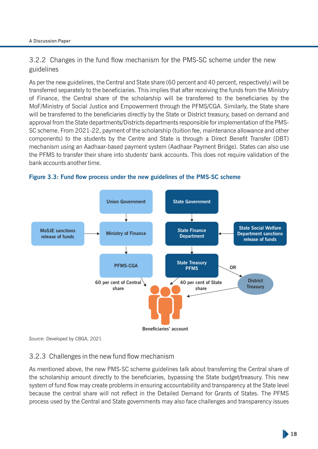3.2.2 Changes in the fund flow mechanism for the PMS-SC scheme under the new guidelines

As per the new guidelines, the Central and State share (60 percent and 40 percent, respectively) will be transferred separately to the beneficiaries. This implies that after receiving the funds from the Ministry of Finance, the Central share of the scholarship will be transferred to the beneficiaries by the MoF/Ministry of Social Justice and Empowerment through the PFMS/CGA. Similarly, the State share will be transferred to the beneficiaries directly by the State or District treasury, based on demand and approval from the State departments/Districts departments responsible for implementation of the PMS-SC scheme. From 2021-22, payment of the scholarship (tuition fee, maintenance allowance and other components) to the students by the Centre and State is through a Direct Benefit Transfer (DBT) mechanism using an Aadhaar-based payment system (Aadhaar Payment Bridge). States can also use the PFMS to transfer their share into students' bank accounts. This does not require validation of the bank accounts another time.





*Source:* Developed by CBGA, 2021

#### 3.2.3 Challenges in the new fund flow mechanism

As mentioned above, the new PMS-SC scheme guidelines talk about transferring the Central share of the scholarship amount directly to the beneficiaries, bypassing the State budget/treasury. This new system of fund flow may create problems in ensuring accountability and transparency at the State level because the central share will not reflect in the Detailed Demand for Grants of States. The PFMS process used by the Central and State governments may also face challenges and transparency issues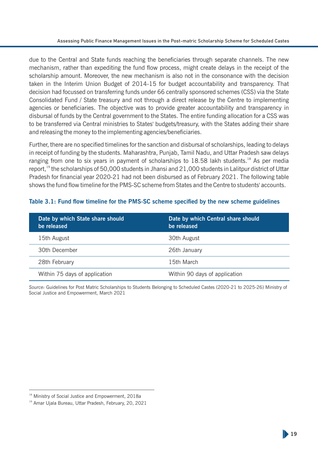due to the Central and State funds reaching the beneficiaries through separate channels. The new mechanism, rather than expediting the fund flow process, might create delays in the receipt of the scholarship amount. Moreover, the new mechanism is also not in the consonance with the decision taken in the Interim Union Budget of 2014-15 for budget accountability and transparency. That decision had focussed on transferring funds under 66 centrally sponsored schemes (CSS) via the State Consolidated Fund / State treasury and not through a direct release by the Centre to implementing agencies or beneficiaries. The objective was to provide greater accountability and transparency in disbursal of funds by the Central government to the States. The entire funding allocation for a CSS was to be transferred via Central ministries to States' budgets/treasury, with the States adding their share and releasing the money to the implementing agencies/beneficiaries.

Further, there are no specified timelines for the sanction and disbursal of scholarships, leading to delays in receipt of funding by the students. Maharashtra, Punjab, Tamil Nadu, and Uttar Pradesh saw delays ranging from one to six years in payment of scholarships to  $18.58$  lakh students.<sup>18</sup> As per media report,  $19$  the scholarships of 50,000 students in Jhansi and 21,000 students in Lalitpur district of Uttar Pradesh for financial year 2020-21 had not been disbursed as of February 2021. The following table shows the fund flow timeline for the PMS-SC scheme from States and the Centre to students' accounts.

| Date by which State share should<br>be released | Date by which Central share should<br>be released |
|-------------------------------------------------|---------------------------------------------------|
| 15th August                                     | 30th August                                       |
| 30th December                                   | 26th January                                      |
| 28th February                                   | 15th March                                        |
| Within 75 days of application                   | Within 90 days of application                     |

#### Table 3.1: Fund flow timeline for the PMS-SC scheme specified by the new scheme guidelines

*Source:* Guidelines for Post Matric Scholarships to Students Belonging to Scheduled Castes (2020-21 to 2025-26) Ministry of Social Justice and Empowerment, March 2021

<sup>&</sup>lt;sup>18</sup> Ministry of Social Justice and Empowerment, 2018a

<sup>&</sup>lt;sup>19</sup> Amar Ujala Bureau, Uttar Pradesh, February, 20, 2021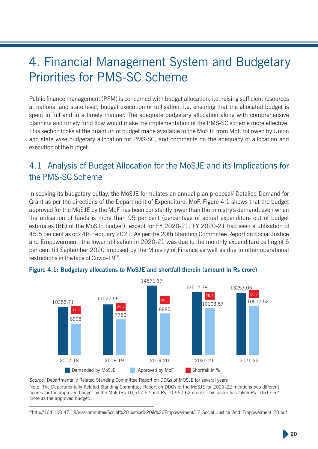## 4. Financial Management System and Budgetary Priorities for PMS-SC Scheme

Public finance management (PFM) is concerned with budget allocation, i.e. raising sufficient resources at national and state level; budget execution or utilisation, i.e. ensuring that the allocated budget is spent in full and in a timely manner. The adequate budgetary allocation along with comprehensive planning and timely fund flow would make the implementation of the PMS-SC scheme more effective. This section looks at the quantum of budget made available to the MoSJE from MoF, followed by Union and state wise budgetary allocation for PMS-SC, and comments on the adequacy of allocation and execution of the budget.

### 4.1 Analysis of Budget Allocation for the MoSJE and its Implications for the PMS-SC Scheme

In seeking its budgetary outlay, the MoSJE formulates an annual plan proposal/ Detailed Demand for Grant as per the directions of the Department of Expenditure, MoF. Figure 4.1 shows that the budget approved for the MoSJE by the MoF has been constantly lower than the ministry's demand, even when the utilisation of funds is more than 95 per cent (percentage of actual expenditure out of budget estimates (BE) of the MoSJE budget), except for FY 2020-21. FY 2020-21 had seen a utilisation of 45.5 per cent as of 24th February 2021. As per the 20th Standing Committee Report on Social Justice and Empowerment, the lower utilisation in 2020-21 was due to the monthly expenditure ceiling of 5 per cent till September 2020 imposed by the Ministry of Finance as well as due to other operational restrictions in the face of Covid-19 $20$ .



#### **Figure 4.1: Budgetary allocations to MoSJE and shortfall therein (amount in Rs crore)**

*Source:* Departmentally Related Standing Committee Report on DDGs of MOSJE for several years Note: The Departmentally Related Standing Committee Report on DDGs of the MoSJE for 2021-22 mentions two different figures for the approved budget by the MoF (Rs 10,517.62 and Rs 10,567.62 crore). This paper has taken Rs 10517.62 crore as the approved budget.

<sup>&</sup>lt;sup>20</sup>http://164.100.47.193/lsscommittee/Social%20Justice%20&%20Empowerment/17\_Social\_Justice\_And\_Empowerment\_20.pdf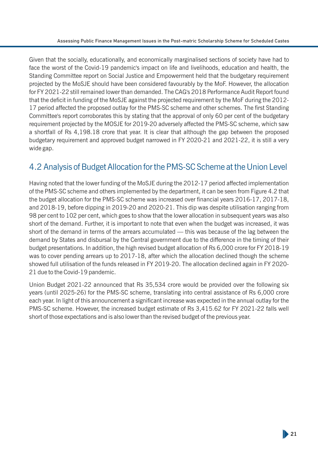Given that the socially, educationally, and economically marginalised sections of society have had to face the worst of the Covid-19 pandemic's impact on life and livelihoods, education and health, the Standing Committee report on Social Justice and Empowerment held that the budgetary requirement projected by the MoSJE should have been considered favourably by the MoF. However, the allocation for FY 2021-22 still remained lower than demanded. The CAG's 2018 Performance Audit Report found that the deficit in funding of the MoSJE against the projected requirement by the MoF during the 2012-17 period affected the proposed outlay for the PMS-SC scheme and other schemes. The first Standing Committee's report corroborates this by stating that the approval of only 60 per cent of the budgetary requirement projected by the MOSJE for 2019-20 adversely affected the PMS-SC scheme, which saw a shortfall of Rs 4,198.18 crore that year. It is clear that although the gap between the proposed budgetary requirement and approved budget narrowed in FY 2020-21 and 2021-22, it is still a very wide gap.

### 4.2 Analysis of Budget Allocation for the PMS-SC Scheme at the Union Level

Having noted that the lower funding of the MoSJE during the 2012-17 period affected implementation of the PMS-SC scheme and others implemented by the department, it can be seen from Figure 4.2 that the budget allocation for the PMS-SC scheme was increased over financial years 2016-17, 2017-18, and 2018-19, before dipping in 2019-20 and 2020-21. This dip was despite utilisation ranging from 98 per cent to 102 per cent, which goes to show that the lower allocation in subsequent years was also short of the demand. Further, it is important to note that even when the budget was increased, it was short of the demand in terms of the arrears accumulated — this was because of the lag between the demand by States and disbursal by the Central government due to the difference in the timing of their budget presentations. In addition, the high revised budget allocation of Rs 6,000 crore for FY 2018-19 was to cover pending arrears up to 2017-18, after which the allocation declined though the scheme showed full utilisation of the funds released in FY 2019-20. The allocation declined again in FY 2020- 21 due to the Covid-19 pandemic.

Union Budget 2021-22 announced that Rs 35,534 crore would be provided over the following six years (until 2025-26) for the PMS-SC scheme, translating into central assistance of Rs 6,000 crore each year. In light of this announcement a significant increase was expected in the annual outlay for the PMS-SC scheme. However, the increased budget estimate of Rs 3,415.62 for FY 2021-22 falls well short of those expectations and is also lower than the revised budget of the previous year.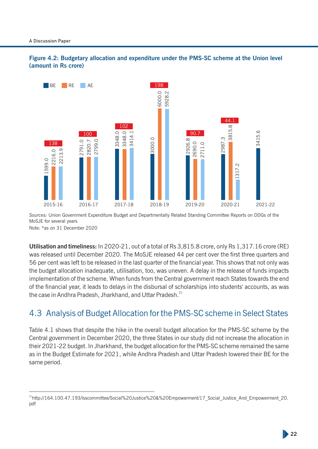



*Sources:* Union Government Expenditure Budget and Departmentally Related Standing Committee Reports on DDGs of the MoSJE for several years Note: \*as on 31 December 2020

**Utilisation and timeliness:** In 2020-21, out of a total of Rs 3,815.8 crore, only Rs 1,317.16 crore (RE) was released until December 2020. The MoSJE released 44 per cent over the first three quarters and 56 per cent was left to be released in the last quarter of the financial year. This shows that not only was the budget allocation inadequate, utilisation, too, was uneven. A delay in the release of funds impacts implementation of the scheme. When funds from the Central government reach States towards the end of the nancial year, it leads to delays in the disbursal of scholarships into students' accounts, as was the case in Andhra Pradesh, Jharkhand, and Uttar Pradesh.<sup>21</sup>

### 4.3 Analysis of Budget Allocation for the PMS-SC scheme in Select States

Table 4.1 shows that despite the hike in the overall budget allocation for the PMS-SC scheme by the Central government in December 2020, the three States in our study did not increase the allocation in their 2021-22 budget. In Jharkhand, the budget allocation for the PMS-SC scheme remained the same as in the Budget Estimate for 2021, while Andhra Pradesh and Uttar Pradesh lowered their BE for the same period.

<sup>&</sup>lt;sup>21</sup>http://164.100.47.193/lsscommittee/Social%20Justice%20&%20Empowerment/17 Social Justice And Empowerment 20. pdf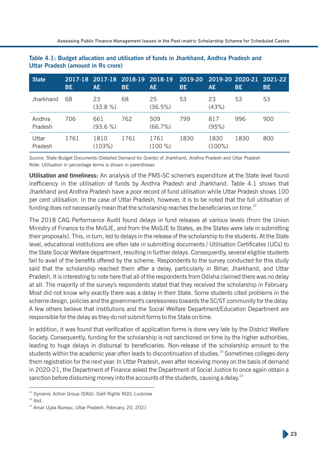| <b>State</b>      | <b>BE</b> | 2017-18 2017-18 2018-19 2018-19<br><b>AE</b> | <b>BE</b> | AE.               | 2019-20<br><b>BE</b> | <b>AE</b>         | 2019-20 2020-21<br>BE | $\overline{2021}$ -22 $\overline{ }$<br><b>BE</b> |
|-------------------|-----------|----------------------------------------------|-----------|-------------------|----------------------|-------------------|-----------------------|---------------------------------------------------|
| Jharkhand         | 68        | 23<br>$(33.8\%)$                             | 68        | 25<br>(36.5%)     | 53                   | 23<br>(43%)       | 53                    | 53                                                |
| Andhra<br>Pradesh | 706       | 661<br>$(93.6\%)$                            | 762       | 509<br>(66.7%)    | 799                  | 817<br>(95%)      | 996                   | 900                                               |
| Uttar<br>Pradesh  | 1761      | 1810<br>(103%)                               | 1761      | 1761<br>$(100\%)$ | 1830                 | 1830<br>$(100\%)$ | 1830                  | 800                                               |

**Table 4.1: Budget allocation and utilisation of funds in Jharkhand, Andhra Pradesh and Uttar Pradesh (amount in Rs crore)**

*Source:* State Budget Documents (Detailed Demand for Grants) of Jharkhand, Andhra Pradesh and Uttar Pradesh Note: Utilisation in percentage terms is shown in parentheses

**Utilisation and timeliness:** An analysis of the PMS-SC scheme's expenditure at the State level found inefficiency in the utilisation of funds by Andhra Pradesh and Jharkhand. Table 4.1 shows that Jharkhand and Andhra Pradesh have a poor record of fund utilisation while Uttar Pradesh shows 100 per cent utilisation. In the case of Uttar Pradesh, however, it is to be noted that the full utilisation of funding does not necessarily mean that the scholarship reaches the beneficiaries on time.<sup>22</sup>

The 2018 CAG Performance Audit found delays in fund releases at various levels (from the Union Ministry of Finance to the MoSJE, and from the MoSJE to States, as the States were late in submitting their proposals). This, in turn, led to delays in the release of the scholarship to the students. At the State level, educational institutions are often late in submitting documents / Utilisation Certificates (UCs) to the State Social Welfare department, resulting in further delays. Consequently, several eligible students fail to avail of the benefits offered by the scheme. Respondents to the survey conducted for this study said that the scholarship reached them after a delay, particularly in Bihar, Jharkhand, and Uttar Pradesh. It is interesting to note here that all of the respondents from Odisha claimed there was no delay at all. The majority of the survey's respondents stated that they received the scholarship in February. Most did not know why exactly there was a delay in their State. Some students cited problems in the scheme design, policies and the government's carelessness towards the SC/ST community for the delay. A few others believe that institutions and the Social Welfare Department/Education Department are responsible for the delay as they do not submit forms to the State on time.

In addition, it was found that verification of application forms is done very late by the District Welfare Society. Consequently, funding for the scholarship is not sanctioned on time by the higher authorities, leading to huge delays in disbursal to beneficiaries. Non-release of the scholarship amount to the students within the academic year often leads to discontinuation of studies.<sup>23</sup> Sometimes colleges deny them registration for the next year. In Uttar Pradesh, even after receiving money on the basis of demand in 2020-21, the Department of Finance asked the Department of Social Justice to once again obtain a sanction before disbursing money into the accounts of the students, causing a delay.<sup>24</sup>

<sup>&</sup>lt;sup>22</sup> Dynamic Action Group (DAG)- Dalit Rights NGO, Lucknow

 $23$  Ibid.

<sup>&</sup>lt;sup>24</sup> Amar Ujala Bureau, Uttar Pradesh, February, 20, 2021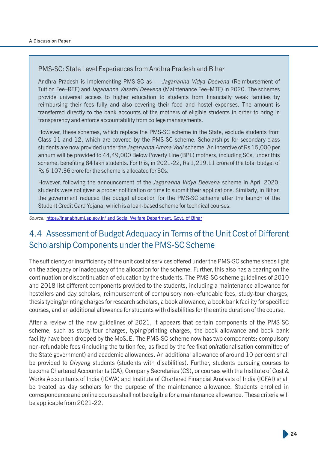#### PMS-SC: State Level Experiences from Andhra Pradesh and Bihar

Andhra Pradesh is implementing PMS-SC as — *Jagananna Vidya Deevena* (Reimbursement of Tuition Fee–RTF) and *Jagananna Vasathi Deevena* (Maintenance Fee–MTF) in 2020. The schemes provide universal access to higher education to students from financially weak families by reimbursing their fees fully and also covering their food and hostel expenses. The amount is transferred directly to the bank accounts of the mothers of eligible students in order to bring in transparency and enforce accountability from college managements.

However, these schemes, which replace the PMS-SC scheme in the State, exclude students from Class 11 and 12, which are covered by the PMS-SC scheme. Scholarships for secondary-class students are now provided under the *Jagananna Amma Vodi* scheme. An incentive of Rs 15,000 per annum will be provided to 44,49,000 Below Poverty Line (BPL) mothers, including SCs, under this scheme, benefiting 84 lakh students. For this, in 2021-22, Rs 1,219.11 crore of the total budget of Rs 6,107.36 crore for the scheme is allocated for SCs.

However, following the announcement of the *Jagananna Vidya Deevena* scheme in April 2020, students were not given a proper notification or time to submit their applications. Similarly, in Bihar, the government reduced the budget allocation for the PMS-SC scheme after the launch of the Student Credit Card Yojana, which is a loan-based scheme for technical courses.

*Source:* [https://jnanabhumi.ap.gov.in/ and Social Welfare Department, Govt. of Bihar](https://jnanabhumi.ap.gov.in/)

### 4.4 Assessment of Budget Adequacy in Terms of the Unit Cost of Different Scholarship Components under the PMS-SC Scheme

The sufficiency or insufficiency of the unit cost of services offered under the PMS-SC scheme sheds light on the adequacy or inadequacy of the allocation for the scheme. Further, this also has a bearing on the continuation or discontinuation of education by the students. The PMS-SC scheme guidelines of 2010 and 2018 list different components provided to the students, including a maintenance allowance for hostellers and day scholars, reimbursement of compulsory non-refundable fees, study-tour charges, thesis typing/printing charges for research scholars, a book allowance, a book bank facility for specified courses, and an additional allowance for students with disabilities for the entire duration of the course.

After a review of the new guidelines of 2021, it appears that certain components of the PMS-SC scheme, such as study-tour charges, typing/printing charges, the book allowance and book bank facility have been dropped by the MoSJE. The PMS-SC scheme now has two components: compulsory non-refundable fees (including the tuition fee, as fixed by the fee fixation/rationalisation committee of the State government) and academic allowances. An additional allowance of around 10 per cent shall be provided to *Divyang* students (students with disabilities). Further, students pursuing courses to become Chartered Accountants (CA), Company Secretaries (CS), or courses with the Institute of Cost & Works Accountants of India (ICWA) and Institute of Chartered Financial Analysts of India (ICFAI) shall be treated as day scholars for the purpose of the maintenance allowance. Students enrolled in correspondence and online courses shall not be eligible for a maintenance allowance. These criteria will be applicable from 2021-22.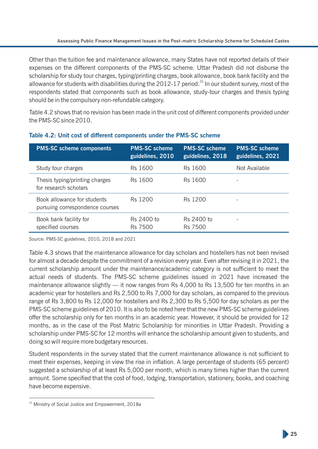Other than the tuition fee and maintenance allowance, many States have not reported details of their expenses on the different components of the PMS-SC scheme. Uttar Pradesh did not disburse the scholarship for study tour charges, typing/printing charges, book allowance, book bank facility and the allowance for students with disabilities during the  $2012-17$  period.<sup>25</sup> In our student survey, most of the respondents stated that components such as book allowance, study-tour charges and thesis typing should be in the compulsory non-refundable category.

Table 4.2 shows that no revision has been made in the unit cost of different components provided under the PMS-SC since 2010.

| <b>PMS-SC scheme components</b>                                | <b>PMS-SC scheme</b><br>guidelines, 2010 | <b>PMS-SC scheme</b><br>guidelines, 2018 | <b>PMS-SC scheme</b><br>guidelines, 2021 |
|----------------------------------------------------------------|------------------------------------------|------------------------------------------|------------------------------------------|
| Study tour charges                                             | Rs 1600                                  | Rs 1600                                  | Not Available                            |
| Thesis typing/printing charges<br>for research scholars        | Rs 1600                                  | Rs 1600                                  |                                          |
| Book allowance for students<br>pursuing correspondence courses | Rs 1200                                  | Rs 1200                                  |                                          |
| Book bank facility for<br>specified courses                    | Rs 2400 to<br><b>Rs 7500</b>             | Rs 2400 to<br><b>Rs 7500</b>             |                                          |

#### **Table 4.2: Unit cost of different components under the PMS-SC scheme**

*Source:* PMS-SC guidelines, 2010, 2018 and 2021

Table 4.3 shows that the maintenance allowance for day scholars and hostellers has not been revised for almost a decade despite the commitment of a revision every year. Even after revising it in 2021, the current scholarship amount under the maintenance/academic category is not sufficient to meet the actual needs of students. The PMS-SC scheme guidelines issued in 2021 have increased the maintenance allowance slightly — it now ranges from Rs 4,000 to Rs 13,500 for ten months in an academic year for hostellers and Rs 2,500 to Rs 7,000 for day scholars, as compared to the previous range of Rs 3,800 to Rs 12,000 for hostellers and Rs 2,300 to Rs 5,500 for day scholars as per the PMS-SC scheme guidelines of 2010. It is also to be noted here that the new PMS-SC scheme guidelines offer the scholarship only for ten months in an academic year. However, it should be provided for 12 months, as in the case of the Post Matric Scholarship for minorities in Uttar Pradesh. Providing a scholarship under PMS-SC for 12 months will enhance the scholarship amount given to students, and doing so will require more budgetary resources.

Student respondents in the survey stated that the current maintenance allowance is not sufficient to meet their expenses, keeping in view the rise in inflation. A large percentage of students (65 percent) suggested a scholarship of at least Rs 5,000 per month, which is many times higher than the current amount. Some specified that the cost of food, lodging, transportation, stationery, books, and coaching have become expensive.

<sup>&</sup>lt;sup>25</sup> Ministry of Social Justice and Empowerment, 2018a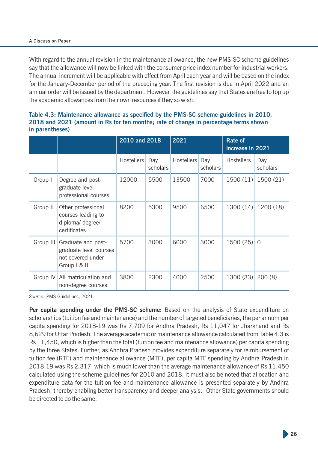#### A Discussion Paper

With regard to the annual revision in the maintenance allowance, the new PMS-SC scheme guidelines say that the allowance will now be linked with the consumer price index number for industrial workers. The annual increment will be applicable with effect from April each year and will be based on the index for the January-December period of the preceding year. The first revision is due in April 2022 and an annual order will be issued by the department. However, the guidelines say that States are free to top up the academic allowances from their own resources if they so wish.

|           |                                                                                                   | 2010 and 2018 |                 | 2021           |          | <b>Rate of</b><br>increase in 2021 |                 |
|-----------|---------------------------------------------------------------------------------------------------|---------------|-----------------|----------------|----------|------------------------------------|-----------------|
|           |                                                                                                   | Hostellers    | Day<br>scholars | Hostellers Day | scholars | <b>Hostellers</b>                  | Day<br>scholars |
| Group I   | Degree and post-<br>graduate level<br>professional courses                                        | 12000         | 5500            | 13500          | 7000     | 1500 (11)                          | 1500 (21)       |
| Group II  | Other professional<br>courses leading to<br>diploma/ degree/<br>certificates                      | 8200          | 5300            | 9500           | 6500     | 1300 (14)                          | 1200 (18)       |
| Group III | Graduate and post-<br>graduate level courses<br>not covered under<br>Group $\vert \& \vert \vert$ | 5700          | 3000            | 6000           | 3000     | $1500(25)$ 0                       |                 |
| Group IV  | All matriculation and<br>non-degree courses                                                       | 3800          | 2300            | 4000           | 2500     | 1300 (33)                          | 200(8)          |

#### Table 4.3: Maintenance allowance as specified by the PMS-SC scheme guidelines in 2010, **2018 and 2021 (amount in Rs for ten months; rate of change in percentage terms shown in parentheses)**

*Source:* PMS Guidelines, 2021

**Per capita spending under the PMS-SC scheme:** Based on the analysis of State expenditure on scholarships (tuition fee and maintenance) and the number of targeted beneficiaries, the per annum per capita spending for 2018-19 was Rs 7,709 for Andhra Pradesh, Rs 11,047 for Jharkhand and Rs 8,629 for Uttar Pradesh. The average academic or maintenance allowance calculated from Table 4.3 is Rs 11,450, which is higher than the total (tuition fee and maintenance allowance) per capita spending by the three States. Further, as Andhra Pradesh provides expenditure separately for reimbursement of tuition fee (RTF) and maintenance allowance (MTF), per capita MTF spending by Andhra Pradesh in 2018-19 was Rs 2,317, which is much lower than the average maintenance allowance of Rs 11,450 calculated using the scheme guidelines for 2010 and 2018. It must also be noted that allocation and expenditure data for the tuition fee and maintenance allowance is presented separately by Andhra Pradesh, thereby enabling better transparency and deeper analysis. Other State governments should be directed to do the same.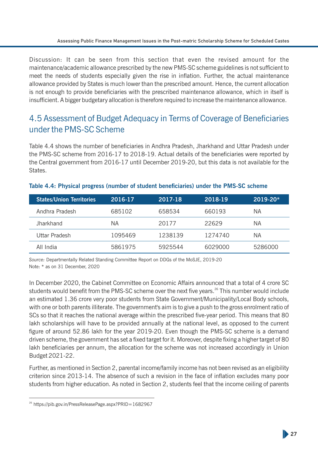Discussion: It can be seen from this section that even the revised amount for the maintenance/academic allowance prescribed by the new PMS-SC scheme guidelines is not sufficient to meet the needs of students especially given the rise in inflation. Further, the actual maintenance allowance provided by States is much lower than the prescribed amount. Hence, the current allocation is not enough to provide beneficiaries with the prescribed maintenance allowance, which in itself is insufficient. A bigger budgetary allocation is therefore required to increase the maintenance allowance.

### 4.5 Assessment of Budget Adequacy in Terms of Coverage of Beneficiaries under the PMS-SC Scheme

Table 4.4 shows the number of beneficiaries in Andhra Pradesh, Jharkhand and Uttar Pradesh under the PMS-SC scheme from 2016-17 to 2018-19. Actual details of the beneficiaries were reported by the Central government from 2016-17 until December 2019-20, but this data is not available for the States.

| <b>States/Union Territories</b> | 2016-17 | 2017-18 | 2018-19 | $2019 - 20*$ |
|---------------------------------|---------|---------|---------|--------------|
| Andhra Pradesh                  | 685102  | 658534  | 660193  | ΝA           |
| <b>Jharkhand</b>                | ΝA      | 20177   | 22629   | ΝA           |
| Uttar Pradesh                   | 1095469 | 1238139 | 1274740 | ΝA           |
| All India                       | 5861975 | 5925544 | 6029000 | 5286000      |

#### Table 4.4: Physical progress (number of student beneficiaries) under the PMS-SC scheme

*Source:* Departmentally Related Standing Committee Report on DDGs of the MoSJE, 2019-20 Note: \* as on 31 December, 2020

In December 2020, the Cabinet Committee on Economic Affairs announced that a total of 4 crore SC students would benefit from the PMS-SC scheme over the next five years.<sup>26</sup> This number would include an estimated 1.36 crore very poor students from State Government/Municipality/Local Body schools, with one or both parents illiterate. The government's aim is to give a push to the gross enrolment ratio of SCs so that it reaches the national average within the prescribed five-year period. This means that 80 lakh scholarships will have to be provided annually at the national level, as opposed to the current figure of around 52.86 lakh for the year 2019-20. Even though the PMS-SC scheme is a demand driven scheme, the government has set a fixed target for it. Moreover, despite fixing a higher target of 80 lakh beneficiaries per annum, the allocation for the scheme was not increased accordingly in Union Budget 2021-22.

Further, as mentioned in Section 2, parental income/family income has not been revised as an eligibility criterion since 2013-14. The absence of such a revision in the face of inflation excludes many poor students from higher education. As noted in Section 2, students feel that the income ceiling of parents

<sup>&</sup>lt;sup>26</sup> https://pib.gov.in/PressReleasePage.aspx?PRID=1682967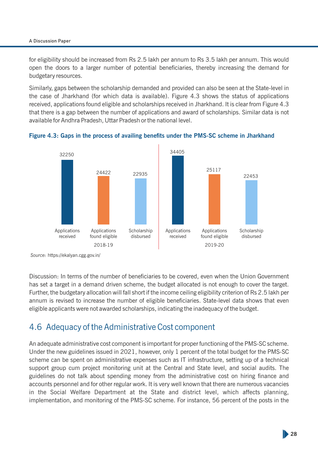#### A Discussion Paper

for eligibility should be increased from Rs 2.5 lakh per annum to Rs 3.5 lakh per annum. This would open the doors to a larger number of potential beneficiaries, thereby increasing the demand for budgetary resources.

Similarly, gaps between the scholarship demanded and provided can also be seen at the State-level in the case of Jharkhand (for which data is available). Figure 4.3 shows the status of applications received, applications found eligible and scholarships received in Jharkhand. It is clear from Figure 4.3 that there is a gap between the number of applications and award of scholarships. Similar data is not available for Andhra Pradesh, Uttar Pradesh or the national level.





*Source:* https://ekalyan.cgg.gov.in/

Discussion: In terms of the number of beneficiaries to be covered, even when the Union Government has set a target in a demand driven scheme, the budget allocated is not enough to cover the target. Further, the budgetary allocation will fall short if the income ceiling eligibility criterion of Rs 2.5 lakh per annum is revised to increase the number of eligible beneficiaries. State-level data shows that even eligible applicants were not awarded scholarships, indicating the inadequacy of the budget.

### 4.6 Adequacy of the Administrative Cost component

An adequate administrative cost component is important for proper functioning of the PMS-SC scheme. Under the new guidelines issued in 2021, however, only 1 percent of the total budget for the PMS-SC scheme can be spent on administrative expenses such as IT infrastructure, setting up of a technical support group cum project monitoring unit at the Central and State level, and social audits. The guidelines do not talk about spending money from the administrative cost on hiring finance and accounts personnel and for other regular work. It is very well known that there are numerous vacancies in the Social Welfare Department at the State and district level, which affects planning, implementation, and monitoring of the PMS-SC scheme. For instance, 56 percent of the posts in the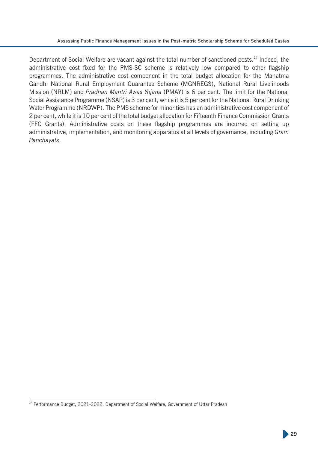Department of Social Welfare are vacant against the total number of sanctioned posts.<sup>27</sup> Indeed, the administrative cost fixed for the PMS-SC scheme is relatively low compared to other flagship programmes. The administrative cost component in the total budget allocation for the Mahatma Gandhi National Rural Employment Guarantee Scheme (MGNREGS), National Rural Livelihoods Mission (NRLM) and *Pradhan Mantri Awas Yojana* (PMAY) is 6 per cent. The limit for the National Social Assistance Programme (NSAP) is 3 per cent, while it is 5 per cent for the National Rural Drinking Water Programme (NRDWP). The PMS scheme for minorities has an administrative cost component of 2 per cent, while it is 10 per cent of the total budget allocation for Fifteenth Finance Commission Grants (FFC Grants). Administrative costs on these flagship programmes are incurred on setting up administrative, implementation, and monitoring apparatus at all levels of governance, including *Gram Panchayats*.

<sup>&</sup>lt;sup>27</sup> Performance Budget, 2021-2022, Department of Social Welfare, Government of Uttar Pradesh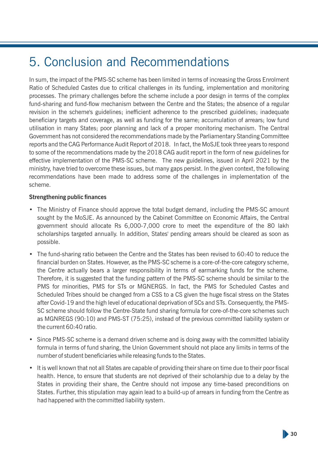## 5. Conclusion and Recommendations

In sum, the impact of the PMS-SC scheme has been limited in terms of increasing the Gross Enrolment Ratio of Scheduled Castes due to critical challenges in its funding, implementation and monitoring processes. The primary challenges before the scheme include a poor design in terms of the complex fund-sharing and fund-flow mechanism between the Centre and the States; the absence of a regular revision in the scheme's guidelines; inefficient adherence to the prescribed guidelines; inadequate beneficiary targets and coverage, as well as funding for the same; accumulation of arrears; low fund utilisation in many States; poor planning and lack of a proper monitoring mechanism. The Central Government has not considered the recommendations made by the Parliamentary Standing Committee reports and the CAG Performance Audit Report of 2018. In fact, the MoSJE took three years to respond to some of the recommendations made by the 2018 CAG audit report in the form of new guidelines for effective implementation of the PMS-SC scheme. The new guidelines, issued in April 2021 by the ministry, have tried to overcome these issues, but many gaps persist. In the given context, the following recommendations have been made to address some of the challenges in implementation of the scheme.

#### **Strengthening public finances**

- The Ministry of Finance should approve the total budget demand, including the PMS-SC amount sought by the MoSJE. As announced by the Cabinet Committee on Economic Affairs, the Central government should allocate Rs 6,000-7,000 crore to meet the expenditure of the 80 lakh scholarships targeted annually. In addition, States' pending arrears should be cleared as soon as possible.
- The fund-sharing ratio between the Centre and the States has been revised to 60:40 to reduce the financial burden on States. However, as the PMS-SC scheme is a core-of-the-core category scheme, the Centre actually bears a larger responsibility in terms of earmarking funds for the scheme. Therefore, it is suggested that the funding pattern of the PMS-SC scheme should be similar to the PMS for minorities, PMS for STs or MGNERGS. In fact, the PMS for Scheduled Castes and Scheduled Tribes should be changed from a CSS to a CS given the huge fiscal stress on the States after Covid-19 and the high level of educational deprivation of SCs and STs. Consequently, the PMS-SC scheme should follow the Centre-State fund sharing formula for core-of-the-core schemes such as MGNREGS (90:10) and PMS-ST (75:25), instead of the previous committed liability system or the current 60:40 ratio.
- Since PMS-SC scheme is a demand driven scheme and is doing away with the committed labiality formula in terms of fund sharing, the Union Government should not place any limits in terms of the number of student beneficiaries while releasing funds to the States.
- It is well known that not all States are capable of providing their share on time due to their poor fiscal health. Hence, to ensure that students are not deprived of their scholarship due to a delay by the States in providing their share, the Centre should not impose any time-based preconditions on States. Further, this stipulation may again lead to a build-up of arrears in funding from the Centre as had happened with the committed liability system.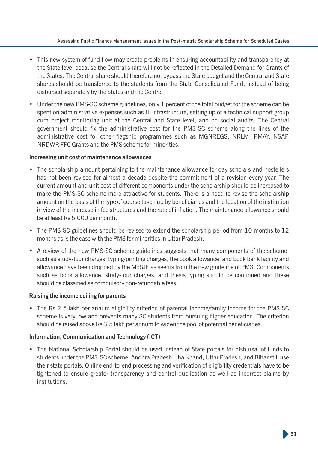- This new system of fund flow may create problems in ensuring accountability and transparency at the State level because the Central share will not be reflected in the Detailed Demand for Grants of the States. The Central share should therefore not bypass the State budget and the Central and State shares should be transferred to the students from the State Consolidated Fund, instead of being disbursed separately by the States and the Centre.
- Under the new PMS-SC scheme guidelines, only 1 percent of the total budget for the scheme can be spent on administrative expenses such as IT infrastructure, setting up of a technical support group cum project monitoring unit at the Central and State level, and on social audits. The Central government should fix the administrative cost for the PMS-SC scheme along the lines of the administrative cost for other flagship programmes such as MGNREGS, NRLM, PMAY, NSAP, NRDWP, FFC Grants and the PMS scheme for minorities.

#### **Increasing unit cost of maintenance allowances**

- The scholarship amount pertaining to the maintenance allowance for day scholars and hostellers has not been revised for almost a decade despite the commitment of a revision every year. The current amount and unit cost of different components under the scholarship should be increased to make the PMS-SC scheme more attractive for students. There is a need to revise the scholarship amount on the basis of the type of course taken up by beneficiaries and the location of the institution in view of the increase in fee structures and the rate of inflation. The maintenance allowance should be at least Rs 5,000 per month.
- The PMS-SC guidelines should be revised to extend the scholarship period from 10 months to 12 months as is the case with the PMS for minorities in Uttar Pradesh.
- A review of the new PMS-SC scheme guidelines suggests that many components of the scheme, such as study-tour charges, typing/printing charges, the book allowance, and book bank facility and allowance have been dropped by the MoSJE as seems from the new guideline of PMS. Components such as book allowance, study-tour charges, and thesis typing should be continued and these should be classified as compulsory non-refundable fees.

#### **Raising the income ceiling for parents**

• The Rs 2.5 lakh per annum eligibility criterion of parental income/family income for the PMS-SC scheme is very low and prevents many SC students from pursuing higher education. The criterion should be raised above Rs 3.5 lakh per annum to widen the pool of potential beneficiaries.

#### **Information, Communication and Technology (ICT)**

• The National Scholarship Portal should be used instead of State portals for disbursal of funds to students under the PMS-SC scheme. Andhra Pradesh, Jharkhand, Uttar Pradesh, and Bihar still use their state portals. Online end-to-end processing and verification of eligibility credentials have to be tightened to ensure greater transparency and control duplication as well as incorrect claims by institutions.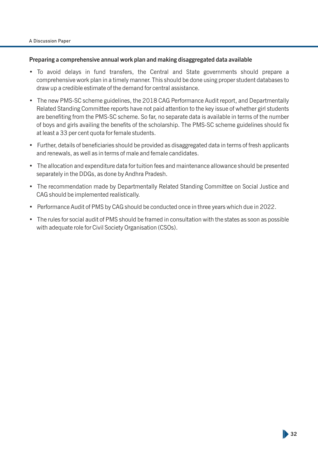#### **Preparing a comprehensive annual work plan and making disaggregated data available**

- To avoid delays in fund transfers, the Central and State governments should prepare a comprehensive work plan in a timely manner. This should be done using proper student databases to draw up a credible estimate of the demand for central assistance.
- The new PMS-SC scheme guidelines, the 2018 CAG Performance Audit report, and Departmentally Related Standing Committee reports have not paid attention to the key issue of whether girl students are benefiting from the PMS-SC scheme. So far, no separate data is available in terms of the number of boys and girls availing the benefits of the scholarship. The PMS-SC scheme guidelines should fix at least a 33 per cent quota for female students.
- Further, details of beneficiaries should be provided as disaggregated data in terms of fresh applicants and renewals, as well as in terms of male and female candidates.
- The allocation and expenditure data for tuition fees and maintenance allowance should be presented separately in the DDGs, as done by Andhra Pradesh.
- The recommendation made by Departmentally Related Standing Committee on Social Justice and CAG should be implemented realistically.
- Performance Audit of PMS by CAG should be conducted once in three years which due in 2022.
- The rules for social audit of PMS should be framed in consultation with the states as soon as possible with adequate role for Civil Society Organisation (CSOs).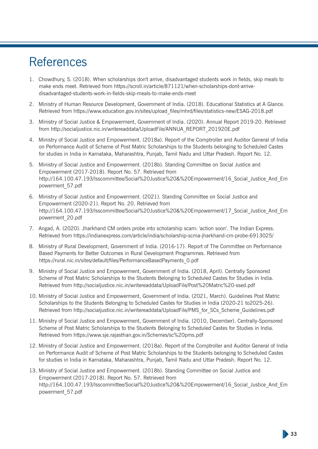## **References**

- 1. Chowdhury, S. (2018). When scholarships don't arrive, disadvantaged students work in fields, skip meals to make ends meet. Retrieved from https://scroll.in/article/871121/when-scholarships-dont-arrivedisadvantaged-students-work-in-fields-skip-meals-to-make-ends-meet
- 2. Ministry of Human Resource Development, Government of India. (2018). Educational Statistics at A Glance. Retrieved from https://www.education.gov.in/sites/upload files/mhrd/files/statistics-new/ESAG-2018.pdf
- 3. Ministry of Social Justice & Empowerment, Government of India. (2020). Annual Report 2019-20. Retrieved from http://socialjustice.nic.in/writereaddata/UploadFile/ANNUA\_REPORT\_201920E.pdf
- 4. Ministry of Social Justice and Empowerment. (2018a). Report of the Comptroller and Auditor General of India on Performance Audit of Scheme of Post Matric Scholarships to the Students belonging to Scheduled Castes for studies in India in Karnataka, Maharashtra, Punjab, Tamil Nadu and Uttar Pradesh. Report No. 12.
- 5. Ministry of Social Justice and Empowerment. (2018b). Standing Committee on Social Justice and Empowerment (2017-2018). Report No. 57. Retrieved from http://164.100.47.193/lsscommittee/Social%20Justice%20&%20Empowerment/16\_Social\_Justice\_And\_Em powerment\_57.pdf
- 6. Ministry of Social Justice and Empowerment. (2021). Standing Committee on Social Justice and Empowerment (2020-21). Report No. 20. Retrieved from http://164.100.47.193/lsscommittee/Social%20Justice%20&%20Empowerment/17\_Social\_Justice\_And\_Em powerment\_20.pdf
- 7. Angad, A. (2020). Jharkhand CM orders probe into scholarship scam: 'action soon'. The Indian Express. Retrieved from https://indianexpress.com/article/india/scholarship-scma-jharkhand-cm-probe-6913025/
- 8. Ministry of Rural Development, Government of India. (2016-17). Report of The Committee on Performance Based Payments for Better Outcomes in Rural Development Programmes. Retrieved from https://rural.nic.in/sites/default/files/PerformanceBasedPayments\_0.pdf
- 9. Ministry of Social Justice and Empowerment, Government of India. (2018, April). Centrally Sponsored Scheme of Post Matric Scholarships to the Students Belonging to Scheduled Castes for Studies in India. Retrieved from http://socialjustice.nic.in/writereaddata/UploadFile/Post%20Matric%20-ssed.pdf
- 10. Ministry of Social Justice and Empowerment, Government of India. (2021, March). Guidelines Post Matric Scholarships to the Students Belonging to Scheduled Castes for Studies in India (2020-21 to2025-26). Retrieved from http://socialjustice.nic.in/writereaddata/UploadFile/PMS\_for\_SCs\_Scheme\_Guidelines.pdf
- 11. Ministry of Social Justice and Empowerment, Government of India. (2010, December). Centrally-Sponsored Scheme of Post Matric Scholarships to the Students Belonging to Scheduled Castes for Studies in India. Retrieved from https://www.sje.rajasthan.gov.in/Schemes/sc%20pms.pdf
- 12. Ministry of Social Justice and Empowerment. (2018a). Report of the Comptroller and Auditor General of India on Performance Audit of Scheme of Post Matric Scholarships to the Students belonging to Scheduled Castes for studies in India in Karnataka, Maharashtra, Punjab, Tamil Nadu and Uttar Pradesh. Report No. 12.
- 13. Ministry of Social Justice and Empowerment. (2018b). Standing Committee on Social Justice and Empowerment (2017-2018). Report No. 57. Retrieved from http://164.100.47.193/lsscommittee/Social%20Justice%20&%20Empowerment/16\_Social\_Justice\_And\_Em powerment\_57.pdf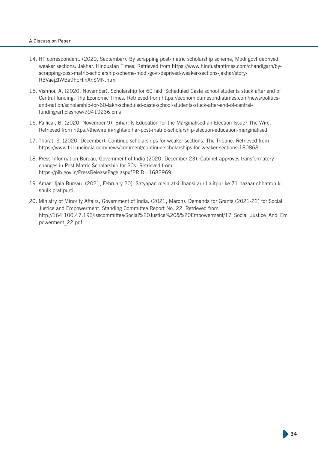#### A Discussion Paper

- 14. HT correspondent. (2020, September). By scrapping post-matric scholarship scheme, Modi govt deprived weaker sections: Jakhar. Hindustan Times. Retrieved from https://www.hindustantimes.com/chandigarh/byscrapping-post-matric-scholarship-scheme-modi-govt-deprived-weaker-sections-jakhar/story-R3VaejZlWBa9FEHlnAnSMN.html
- 15. Vishnoi, A. (2020, November). Scholarship for 60 lakh Scheduled Caste school students stuck after end of Central funding. The Economic Times. Retrieved from https://economictimes.indiatimes.com/news/politicsand-nation/scholarship-for-60-lakh-scheduled-caste-school-students-stuck-after-end-of-centralfunding/articleshow/79419236.cms
- 16. Pallical, B. (2020, November 9). Bihar: Is Education for the Marginalised an Election Issue? The Wire. Retrieved from https://thewire.in/rights/bihar-post-matric-scholarship-election-education-marginalised
- 17. Thorat, S. (2020, December). Continue scholarships for weaker sections. The Tribune. Retrieved from https://www.tribuneindia.com/news/comment/continue-scholarships-for-weaker-sections-180868
- 18. Press Information Bureau, Government of India (2020, December 23). Cabinet approves transformatory changes in Post Matric Scholarship for SCs. Retrieved from https://pib.gov.in/PressReleasePage.aspx?PRID=1682969
- 19. Amar Ujala Bureau. (2021, February 20). Satyapan mein atki Jhansi aur Lalitpur ke 71 hazaar chhatron ki shulk pratipurti.
- 20. Ministry of Minority Affairs, Government of India. (2021, March). Demands for Grants (2021-22) for Social Justice and Empowerment. Standing Committee Report No. 22. Retrieved from http://164.100.47.193/Isscommittee/Social%20Justice%20&%20Empowerment/17\_Social\_Justice\_And\_Em powerment\_22.pdf